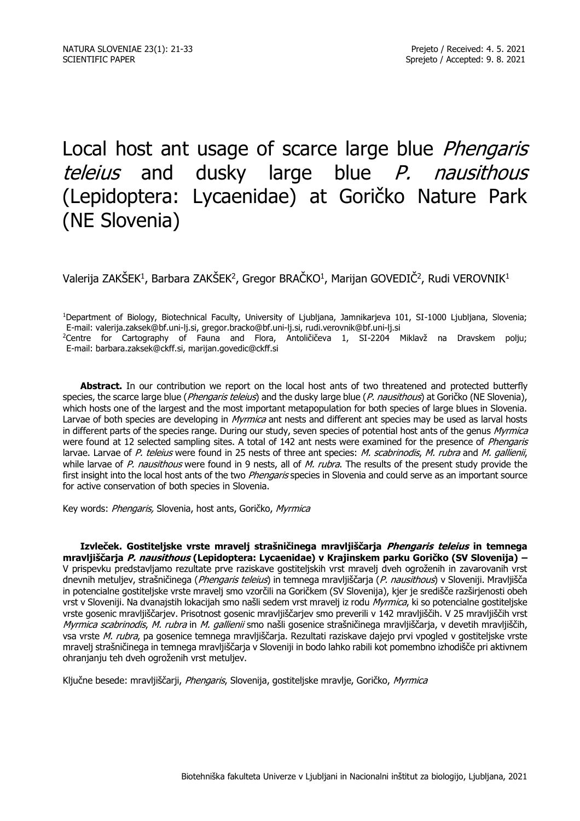# Local host ant usage of scarce large blue *Phengaris* teleius and dusky large blue P. nausithous (Lepidoptera: Lycaenidae) at Goričko Nature Park (NE Slovenia)

Valerija ZAKŠEK $^1$ , Barbara ZAKŠEK $^2$ , Gregor BRAČKO $^1$ , Marijan GOVEDIČ $^2$ , Rudi VEROVNIK $^1$ 

<sup>1</sup>Department of Biology, Biotechnical Faculty, University of Ljubljana, Jamnikarjeva 101, SI-1000 Ljubljana, Slovenia; E-mail: valerija.zaksek@bf.uni-lj.si, gregor.bracko@bf.uni-lj.si, rudi.verovnik@bf.uni-lj.si <sup>2</sup>Centre for Cartography of Fauna and Flora, Antoličičeva 1, SI-2204 Miklavž na Dravskem polju; E-mail: barbara.zaksek@ckff.si, marijan.govedic@ckff.si

Abstract. In our contribution we report on the local host ants of two threatened and protected butterfly species, the scarce large blue (Phengaris teleius) and the dusky large blue (P. nausithous) at Goričko (NE Slovenia), which hosts one of the largest and the most important metapopulation for both species of large blues in Slovenia. Larvae of both species are developing in Myrmica ant nests and different ant species may be used as larval hosts in different parts of the species range. During our study, seven species of potential host ants of the genus Myrmica were found at 12 selected sampling sites. A total of 142 ant nests were examined for the presence of *Phengaris* larvae. Larvae of P. teleius were found in 25 nests of three ant species: M. scabrinodis, M. rubra and M. gallienii, while larvae of P. nausithous were found in 9 nests, all of M. rubra. The results of the present study provide the first insight into the local host ants of the two Phengaris species in Slovenia and could serve as an important source for active conservation of both species in Slovenia.

Key words: Phengaris, Slovenia, host ants, Goričko, Myrmica

**Izvleček. Gostiteljske vrste mravelj strašničinega mravljiščarja Phengaris teleius in temnega mravljiščarja P. nausithous (Lepidoptera: Lycaenidae) v Krajinskem parku Goričko (SV Slovenija) –** V prispevku predstavljamo rezultate prve raziskave gostiteljskih vrst mravelj dveh ogroženih in zavarovanih vrst dnevnih metuljev, strašničinega (Phengaris teleius) in temnega mravljiščarja (P. nausithous) v Sloveniji. Mravljišča in potencialne gostiteljske vrste mravelj smo vzorčili na Goričkem (SV Slovenija), kjer je središče razširjenosti obeh vrst v Sloveniji. Na dvanajstih lokacijah smo našli sedem vrst mravelj iz rodu Myrmica, ki so potencialne gostiteljske vrste gosenic mravljiščarjev. Prisotnost gosenic mravljiščarjev smo preverili v 142 mravljiščih. V 25 mravljiščih vrst Myrmica scabrinodis, M. rubra in M. gallienii smo našli gosenice strašničinega mravljiščarja, v devetih mravljiščih, vsa vrste M. rubra, pa gosenice temnega mravljiščarja. Rezultati raziskave dajejo prvi vpogled v gostiteljske vrste mravelj strašničinega in temnega mravljiščarja v Sloveniji in bodo lahko rabili kot pomembno izhodišče pri aktivnem ohranjanju teh dveh ogroženih vrst metuljev.

Ključne besede: mravljiščarji, *Phengaris*, Slovenija, gostiteljske mravlje, Goričko, Myrmica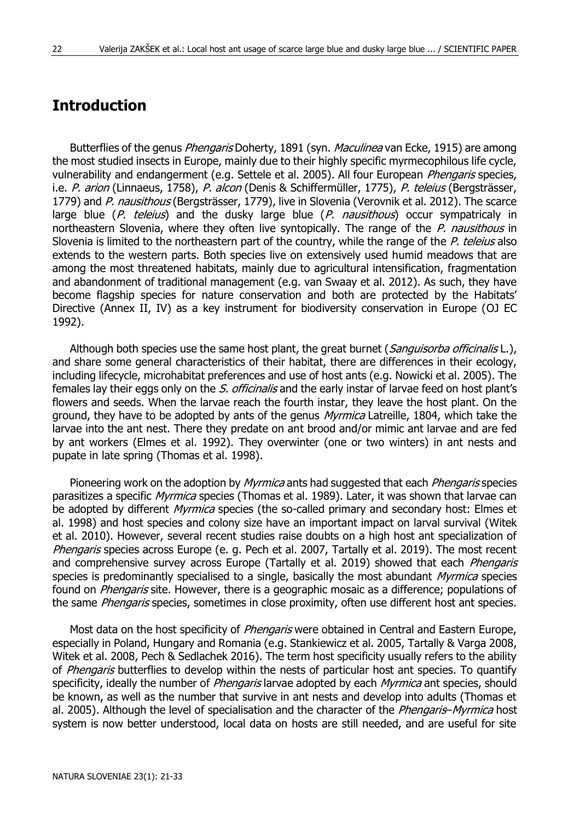# **Introduction**

Butterflies of the genus *Phengaris* Doherty, 1891 (syn. *Maculinea* van Ecke, 1915) are among the most studied insects in Europe, mainly due to their highly specific myrmecophilous life cycle, vulnerability and endangerment (e.g. Settele et al. 2005). All four European *Phengaris* species, i.e. P. arion (Linnaeus, 1758), P. alcon (Denis & Schiffermüller, 1775), P. teleius (Bergsträsser, 1779) and P. nausithous (Bergsträsser, 1779), live in Slovenia (Verovnik et al. 2012). The scarce large blue  $(P.$  teleius) and the dusky large blue  $(P.$  nausithous) occur sympatricaly in northeastern Slovenia, where they often live syntopically. The range of the P. nausithous in Slovenia is limited to the northeastern part of the country, while the range of the P. teleius also extends to the western parts. Both species live on extensively used humid meadows that are among the most threatened habitats, mainly due to agricultural intensification, fragmentation and abandonment of traditional management (e.g. van Swaay et al. 2012). As such, they have become flagship species for nature conservation and both are protected by the Habitats' Directive (Annex II, IV) as a key instrument for biodiversity conservation in Europe (OJ EC 1992).

Although both species use the same host plant, the great burnet (Sanguisorba officinalis L.), and share some general characteristics of their habitat, there are differences in their ecology, including lifecycle, microhabitat preferences and use of host ants (e.g. Nowicki et al. 2005). The females lay their eggs only on the S. officinalis and the early instar of larvae feed on host plant's flowers and seeds. When the larvae reach the fourth instar, they leave the host plant. On the ground, they have to be adopted by ants of the genus *Myrmica* Latreille, 1804, which take the larvae into the ant nest. There they predate on ant brood and/or mimic ant larvae and are fed by ant workers (Elmes et al. 1992). They overwinter (one or two winters) in ant nests and pupate in late spring (Thomas et al. 1998).

Pioneering work on the adoption by Myrmica ants had suggested that each *Phengaris* species parasitizes a specific Myrmica species (Thomas et al. 1989). Later, it was shown that larvae can be adopted by different Myrmica species (the so-called primary and secondary host: Elmes et al. 1998) and host species and colony size have an important impact on larval survival (Witek et al. 2010). However, several recent studies raise doubts on a high host ant specialization of Phengaris species across Europe (e. g. Pech et al. 2007, Tartally et al. 2019). The most recent and comprehensive survey across Europe (Tartally et al. 2019) showed that each Phengaris species is predominantly specialised to a single, basically the most abundant *Myrmica* species found on *Phengaris* site. However, there is a geographic mosaic as a difference; populations of the same *Phengaris* species, sometimes in close proximity, often use different host ant species.

Most data on the host specificity of *Phengaris* were obtained in Central and Eastern Europe, especially in Poland, Hungary and Romania (e.g. Stankiewicz et al. 2005, Tartally & Varga 2008, Witek et al. 2008, Pech & Sedlachek 2016). The term host specificity usually refers to the ability of *Phengaris* butterflies to develop within the nests of particular host ant species. To quantify specificity, ideally the number of Phengaris larvae adopted by each Myrmica ant species, should be known, as well as the number that survive in ant nests and develop into adults (Thomas et al. 2005). Although the level of specialisation and the character of the *Phengaris–Myrmica* host system is now better understood, local data on hosts are still needed, and are useful for site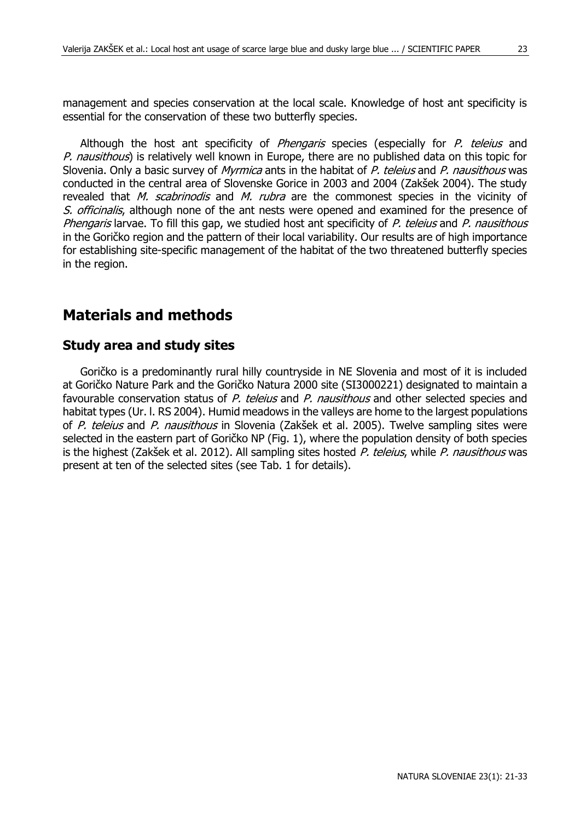management and species conservation at the local scale. Knowledge of host ant specificity is essential for the conservation of these two butterfly species.

Although the host ant specificity of *Phengaris* species (especially for *P. teleius* and P. nausithous) is relatively well known in Europe, there are no published data on this topic for Slovenia. Only a basic survey of *Myrmica* ants in the habitat of P. teleius and P. nausithous was conducted in the central area of Slovenske Gorice in 2003 and 2004 (Zakšek 2004). The study revealed that *M. scabrinodis* and *M. rubra* are the commonest species in the vicinity of S. officinalis, although none of the ant nests were opened and examined for the presence of Phengaris larvae. To fill this gap, we studied host ant specificity of P, teleius and P, nausithous in the Goričko region and the pattern of their local variability. Our results are of high importance for establishing site-specific management of the habitat of the two threatened butterfly species in the region.

# **Materials and methods**

#### **Study area and study sites**

Goričko is a predominantly rural hilly countryside in NE Slovenia and most of it is included at Goričko Nature Park and the Goričko Natura 2000 site (SI3000221) designated to maintain a favourable conservation status of P. teleius and P. nausithous and other selected species and habitat types (Ur. l. RS 2004). Humid meadows in the valleys are home to the largest populations of P. teleius and P. nausithous in Slovenia (Zakšek et al. 2005). Twelve sampling sites were selected in the eastern part of Goričko NP (Fig. 1), where the population density of both species is the highest (Zakšek et al. 2012). All sampling sites hosted P. teleius, while P. nausithous was present at ten of the selected sites (see Tab. 1 for details).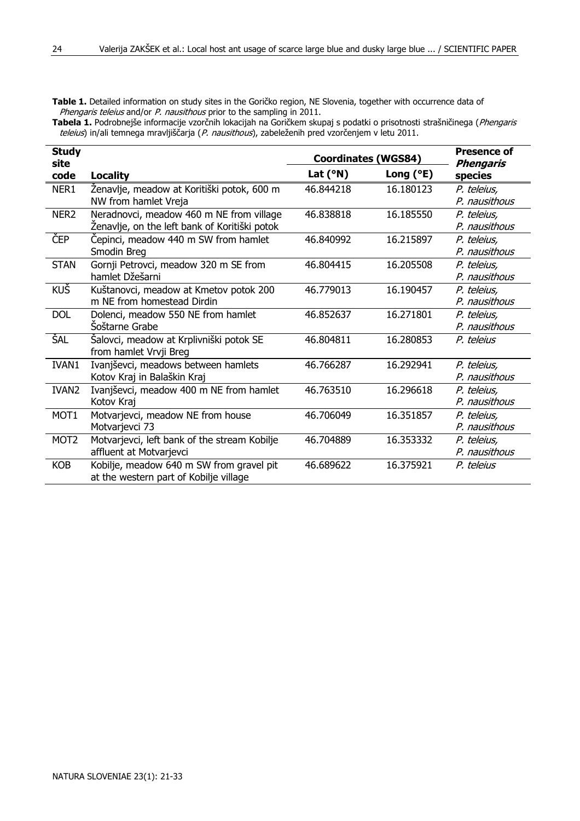**Table 1.** Detailed information on study sites in the Goričko region, NE Slovenia, together with occurrence data of Phengaris teleius and/or P. nausithous prior to the sampling in 2011.

**Tabela 1.** Podrobnejše informacije vzorčnih lokacijah na Goričkem skupaj s podatki o prisotnosti strašničinega (Phengaris teleius) in/ali temnega mravljiščarja (P. nausithous), zabeleženih pred vzorčenjem v letu 2011.

| <b>Study</b><br>site |                                                                                           | <b>Coordinates (WGS84)</b> | <b>Presence of</b><br><b>Phengaris</b> |                              |
|----------------------|-------------------------------------------------------------------------------------------|----------------------------|----------------------------------------|------------------------------|
| code                 | Locality                                                                                  | Lat $(°N)$                 | Long $(°E)$                            | species                      |
| NER1                 | Ženavlje, meadow at Koritiški potok, 600 m<br>NW from hamlet Vreja                        | 46.844218                  | 16.180123                              | P. teleius.<br>P. nausithous |
| NER <sub>2</sub>     | Neradnovci, meadow 460 m NE from village<br>Ženavlje, on the left bank of Koritiški potok | 46.838818                  | 16.185550                              | P. teleius,<br>P. nausithous |
| ČEP                  | Cepinci, meadow 440 m SW from hamlet<br>Smodin Breg                                       | 46.840992                  | 16.215897                              | P. teleius,<br>P. nausithous |
| <b>STAN</b>          | Gornji Petrovci, meadow 320 m SE from<br>hamlet Džešarni                                  | 46.804415                  | 16.205508                              | P. teleius,<br>P. nausithous |
| <b>KUŠ</b>           | Kuštanovci, meadow at Kmetov potok 200<br>m NE from homestead Dirdin                      | 46.779013                  | 16.190457                              | P. teleius,<br>P. nausithous |
| <b>DOL</b>           | Dolenci, meadow 550 NE from hamlet<br>Šoštarne Grabe                                      | 46.852637                  | 16.271801                              | P. teleius,<br>P. nausithous |
| ŠAL                  | Šalovci, meadow at Krplivniški potok SE<br>from hamlet Vrvji Breg                         | 46.804811                  | 16.280853                              | P. teleius                   |
| IVAN1                | Ivanjševci, meadows between hamlets<br>Kotov Kraj in Balaškin Kraj                        | 46.766287                  | 16.292941                              | P. teleius,<br>P. nausithous |
| IVAN <sub>2</sub>    | Ivanjševci, meadow 400 m NE from hamlet<br>Kotov Krai                                     | 46.763510                  | 16.296618                              | P. teleius,<br>P. nausithous |
| MOT <sub>1</sub>     | Motvarjevci, meadow NE from house<br>Motvarjevci 73                                       | 46.706049                  | 16.351857                              | P. teleius,<br>P. nausithous |
| MOT <sub>2</sub>     | Motvarjevci, left bank of the stream Kobilje<br>affluent at Motvarjevci                   | 46.704889                  | 16.353332                              | P. teleius,<br>P. nausithous |
| <b>KOB</b>           | Kobilje, meadow 640 m SW from gravel pit<br>at the western part of Kobilje village        | 46.689622                  | 16.375921                              | P. teleius                   |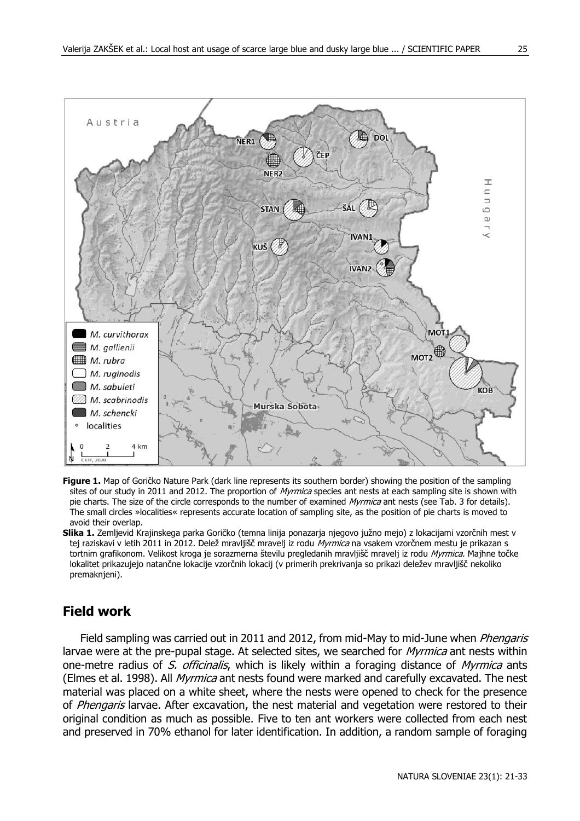

- **Figure 1.** Map of Goričko Nature Park (dark line represents its southern border) showing the position of the sampling sites of our study in 2011 and 2012. The proportion of Myrmica species ant nests at each sampling site is shown with pie charts. The size of the circle corresponds to the number of examined Myrmica ant nests (see Tab. 3 for details). The small circles »localities« represents accurate location of sampling site, as the position of pie charts is moved to avoid their overlap.
- **Slika 1.** Zemljevid Krajinskega parka Goričko (temna linija ponazarja njegovo južno mejo) z lokacijami vzorčnih mest v tej raziskavi v letih 2011 in 2012. Delež mravljišč mravelj iz rodu Myrmica na vsakem vzorčnem mestu je prikazan s tortnim grafikonom. Velikost kroga je sorazmerna številu pregledanih mravljišč mravelj iz rodu Myrmica. Majhne točke lokalitet prikazujejo natančne lokacije vzorčnih lokacij (v primerih prekrivanja so prikazi deležev mravljišč nekoliko premaknieni).

#### **Field work**

Field sampling was carried out in 2011 and 2012, from mid-May to mid-June when *Phengaris* larvae were at the pre-pupal stage. At selected sites, we searched for *Myrmica* ant nests within one-metre radius of S. officinalis, which is likely within a foraging distance of Myrmica ants (Elmes et al. 1998). All *Myrmica* ant nests found were marked and carefully excavated. The nest material was placed on a white sheet, where the nests were opened to check for the presence of Phengaris larvae. After excavation, the nest material and vegetation were restored to their original condition as much as possible. Five to ten ant workers were collected from each nest and preserved in 70% ethanol for later identification. In addition, a random sample of foraging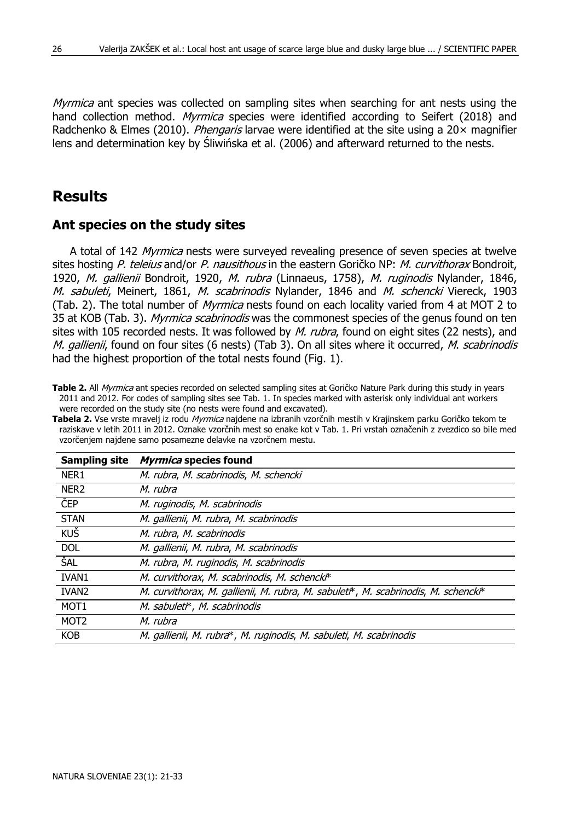Myrmica ant species was collected on sampling sites when searching for ant nests using the hand collection method. *Myrmica* species were identified according to Seifert (2018) and Radchenko & Elmes (2010). *Phengaris* larvae were identified at the site using a  $20 \times$  magnifier lens and determination key by Śliwińska et al. (2006) and afterward returned to the nests.

### **Results**

#### **Ant species on the study sites**

A total of 142 *Myrmica* nests were surveyed revealing presence of seven species at twelve sites hosting P. teleius and/or P. nausithous in the eastern Goričko NP: M. curvithorax Bondroit. 1920, M. gallienii Bondroit, 1920, M. rubra (Linnaeus, 1758), M. ruginodis Nylander, 1846, M. sabuleti, Meinert, 1861, M. scabrinodis Nylander, 1846 and M. schencki Viereck, 1903 (Tab. 2). The total number of *Myrmica* nests found on each locality varied from 4 at MOT 2 to 35 at KOB (Tab. 3). *Myrmica scabrinodis* was the commonest species of the genus found on ten sites with 105 recorded nests. It was followed by M. rubra, found on eight sites (22 nests), and M. gallienii, found on four sites (6 nests) (Tab 3). On all sites where it occurred, M. scabrinodis had the highest proportion of the total nests found (Fig. 1).

**Table 2.** All Myrmica ant species recorded on selected sampling sites at Goričko Nature Park during this study in years 2011 and 2012. For codes of sampling sites see Tab. 1. In species marked with asterisk only individual ant workers were recorded on the study site (no nests were found and excavated).

vzorčenjem najdene samo posamezne delavke na vzorčnem mestu. **Sampling site Myrmica species found** NER1 M. rubra, M. scabrinodis, M. schencki NER<sub>2</sub> M. rubra ČEP M. ruginodis, M. scabrinodis STAN M. gallienii, M. rubra, M. scabrinodis

**Tabela 2.** Vse vrste mravelj iz rodu Myrmica najdene na izbranih vzorčnih mestih v Krajinskem parku Goričko tekom te raziskave v letih 2011 in 2012. Oznake vzorčnih mest so enake kot v Tab. 1. Pri vrstah označenih z zvezdico so bile med

| ČEP              | M. ruginodis, M. scabrinodis                                                       |
|------------------|------------------------------------------------------------------------------------|
| <b>STAN</b>      | M. gallienii, M. rubra, M. scabrinodis                                             |
| KUŠ              | M. rubra, M. scabrinodis                                                           |
| <b>DOL</b>       | M. gallienii, M. rubra, M. scabrinodis                                             |
| ŠAL              | M. rubra, M. ruginodis, M. scabrinodis                                             |
| <b>IVAN1</b>     | M. curvithorax, M. scabrinodis, M. schencki*                                       |
| <b>IVAN2</b>     | M. curvithorax, M. gallienii, M. rubra, M. sabuleti*, M. scabrinodis, M. schencki* |
| MOT <sub>1</sub> | M. sabuleti*, M. scabrinodis                                                       |
| MOT <sub>2</sub> | M. rubra                                                                           |
| <b>KOB</b>       | M. gallienii, M. rubra*, M. ruginodis, M. sabuleti, M. scabrinodis                 |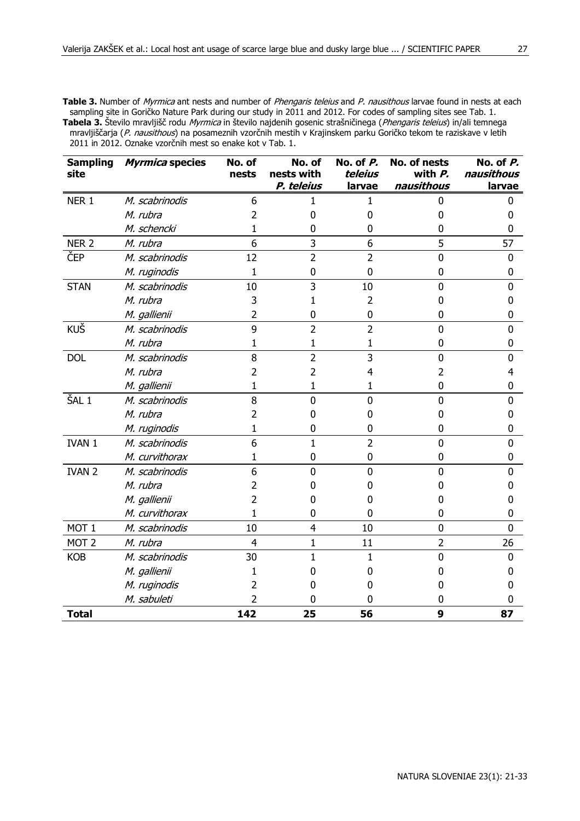**Table 3.** Number of *Myrmica* ant nests and number of *Phengaris teleius* and P, nausithous larvae found in nests at each sampling site in Goričko Nature Park during our study in 2011 and 2012. For codes of sampling sites see Tab. 1. **Tabela 3.** Število mravljišč rodu Myrmica in število najdenih gosenic strašničinega (Phengaris teleius) in/ali temnega mravljiščarja (P. nausithous) na posameznih vzorčnih mestih v Krajinskem parku Goričko tekom te raziskave v letih 2011 in 2012. Oznake vzorčnih mest so enake kot v Tab. 1.

| <b>Sampling</b><br>site | Myrmica species | No. of<br>nests | No. of<br>nests with | No. of P.<br>teleius | No. of nests<br>with $P$ . | No. of P.<br>nausithous |
|-------------------------|-----------------|-----------------|----------------------|----------------------|----------------------------|-------------------------|
|                         |                 |                 | P. teleius           | larvae               | nausithous                 | larvae                  |
| NER <sub>1</sub>        | M. scabrinodis  | 6               | 1                    | 1                    | 0                          | 0                       |
|                         | M. rubra        | 2               | ŋ                    | 0                    | 0                          | n                       |
|                         | M. schencki     | 1               | ŋ                    | 0                    | 0                          | ŋ                       |
| NER <sub>2</sub>        | M. rubra        | 6               | 3                    | 6                    | 5                          | 57                      |
| ČEP                     | M. scabrinodis  | 12              | $\overline{2}$       | $\overline{2}$       | $\mathbf{0}$               | $\mathbf{0}$            |
|                         | M. ruginodis    | 1               | $\mathbf 0$          | $\mathbf{0}$         | 0                          | 0                       |
| <b>STAN</b>             | M. scabrinodis  | 10              | 3                    | 10                   | $\Omega$                   | 0                       |
|                         | M. rubra        | 3               |                      | $\overline{2}$       | 0                          | 0                       |
|                         | M. gallienii    | 2               | 0                    | 0                    | 0                          | 0                       |
| KUŠ                     | M. scabrinodis  | 9               | $\overline{2}$       | $\overline{2}$       | $\mathbf{0}$               | 0                       |
|                         | M. rubra        | 1               | 1                    | 1                    | 0                          | 0                       |
| <b>DOL</b>              | M. scabrinodis  | 8               | $\overline{2}$       | 3                    | $\Omega$                   | 0                       |
|                         | M. rubra        | 2               | 2                    | 4                    | $\overline{2}$             | 4                       |
|                         | M. gallienii    | 1               | 1                    | 1                    | 0                          | 0                       |
| ŠAL <sub>1</sub>        | M. scabrinodis  | 8               | $\mathbf{0}$         | $\mathbf{0}$         | $\mathbf{0}$               | $\mathbf{0}$            |
|                         | M. rubra        | 2               | 0                    | 0                    | 0                          | 0                       |
|                         | M. ruginodis    | 1               | 0                    | 0                    | 0                          | 0                       |
| IVAN 1                  | M. scabrinodis  | 6               | $\mathbf{1}$         | $\overline{2}$       | $\mathbf{0}$               | $\mathbf{0}$            |
|                         | M. curvithorax  | 1               | $\mathbf{0}$         | $\mathbf{0}$         | $\mathbf{0}$               | $\mathbf{0}$            |
| <b>IVAN 2</b>           | M. scabrinodis  | 6               | $\Omega$             | $\mathbf{0}$         | 0                          | 0                       |
|                         | M. rubra        | 2               |                      | 0                    | 0                          | 0                       |
|                         | M. gallienii    | 2               |                      | 0                    | 0                          | 0                       |
|                         | M. curvithorax  | 1               | 0                    | 0                    | 0                          | 0                       |
| MOT <sub>1</sub>        | M. scabrinodis  | 10              | $\overline{4}$       | 10                   | $\mathbf{0}$               | 0                       |
| MOT <sub>2</sub>        | M. rubra        | 4               | $\mathbf{1}$         | 11                   | $\overline{2}$             | 26                      |
| <b>KOB</b>              | M. scabrinodis  | 30              | 1                    | 1                    | 0                          | 0                       |
|                         | M. gallienii    | 1               |                      | 0                    | 0                          | 0                       |
|                         | M. ruginodis    | 2               |                      | 0                    | 0                          | 0                       |
|                         | M. sabuleti     | 2               | 0                    | 0                    | 0                          | 0                       |
| <b>Total</b>            |                 | 142             | 25                   | 56                   | 9                          | 87                      |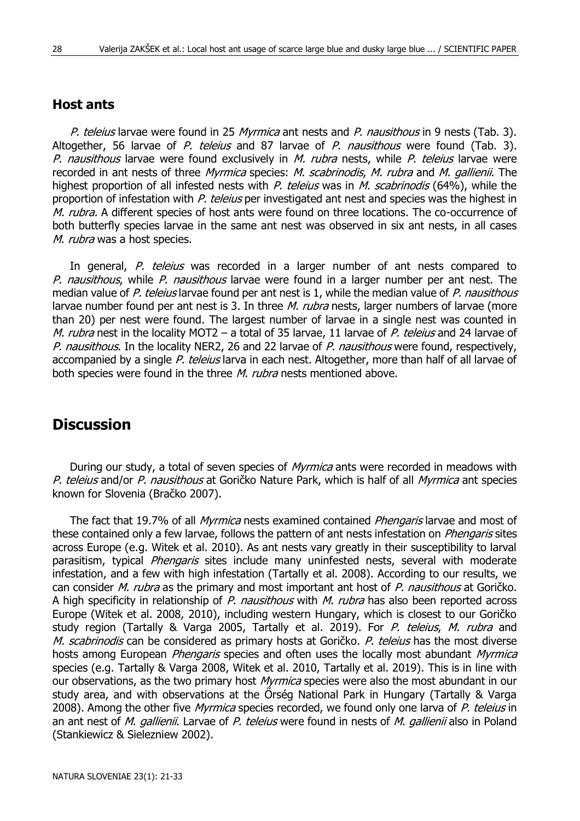#### **Host ants**

P. teleius larvae were found in 25 Myrmica ant nests and P. nausithous in 9 nests (Tab. 3). Altogether, 56 larvae of P. teleius and 87 larvae of P. nausithous were found (Tab. 3). P. nausithous larvae were found exclusively in M. rubra nests, while P. teleius larvae were recorded in ant nests of three *Myrmica* species: *M. scabrinodis, M. rubra* and *M. gallienii*. The highest proportion of all infested nests with P. teleius was in M. scabrinodis (64%), while the proportion of infestation with P. teleius per investigated ant nest and species was the highest in M. rubra. A different species of host ants were found on three locations. The co-occurrence of both butterfly species larvae in the same ant nest was observed in six ant nests, in all cases M. rubra was a host species.

In general, P. teleius was recorded in a larger number of ant nests compared to P. nausithous, while P. nausithous larvae were found in a larger number per ant nest. The median value of P. teleius larvae found per ant nest is 1, while the median value of P. nausithous larvae number found per ant nest is 3. In three *M. rubra* nests, larger numbers of larvae (more than 20) per nest were found. The largest number of larvae in a single nest was counted in M. rubra nest in the locality MOT2 - a total of 35 larvae, 11 larvae of P. teleius and 24 larvae of P. nausithous. In the locality NER2, 26 and 22 larvae of P. nausithous were found, respectively, accompanied by a single P. teleius larva in each nest. Altogether, more than half of all larvae of both species were found in the three *M. rubra* nests mentioned above.

# **Discussion**

During our study, a total of seven species of *Myrmica* ants were recorded in meadows with P. teleius and/or P. nausithous at Goričko Nature Park, which is half of all Myrmica ant species known for Slovenia (Bračko 2007).

The fact that 19.7% of all *Myrmica* nests examined contained *Phengaris* larvae and most of these contained only a few larvae, follows the pattern of ant nests infestation on *Phengaris* sites across Europe (e.g. Witek et al. 2010). As ant nests vary greatly in their susceptibility to larval parasitism, typical *Phengaris* sites include many uninfested nests, several with moderate infestation, and a few with high infestation (Tartally et al. 2008). According to our results, we can consider *M. rubra* as the primary and most important ant host of P. nausithous at Goričko. A high specificity in relationship of P. nausithous with M. rubra has also been reported across Europe (Witek et al. 2008, 2010), including western Hungary, which is closest to our Goričko study region (Tartally & Varga 2005, Tartally et al. 2019). For P. teleius, M. rubra and M. scabrinodis can be considered as primary hosts at Goričko. P. teleius has the most diverse hosts among European *Phengaris* species and often uses the locally most abundant Myrmica species (e.g. Tartally & Varga 2008, Witek et al. 2010, Tartally et al. 2019). This is in line with our observations, as the two primary host *Myrmica* species were also the most abundant in our study area, and with observations at the Őrség National Park in Hungary (Tartally & Varga 2008). Among the other five Myrmica species recorded, we found only one larva of P. teleius in an ant nest of M. gallienii. Larvae of P. teleius were found in nests of M. gallienii also in Poland (Stankiewicz & Sielezniew 2002).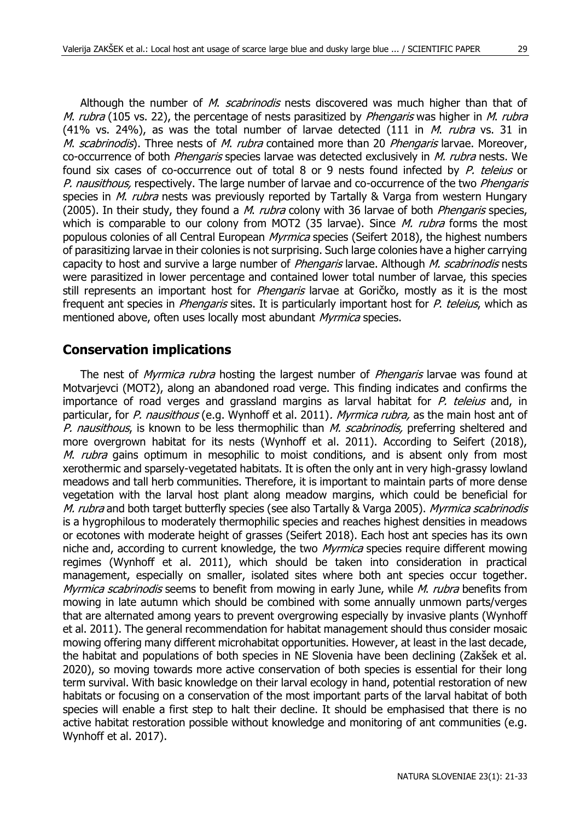Although the number of *M. scabrinodis* nests discovered was much higher than that of M. rubra (105 vs. 22), the percentage of nests parasitized by *Phengaris* was higher in M. rubra (41% vs. 24%), as was the total number of larvae detected (111 in  $M$ . *rubra* vs. 31 in M. scabrinodis). Three nests of M. rubra contained more than 20 Phengaris larvae. Moreover, co-occurrence of both *Phengaris* species larvae was detected exclusively in *M. rubra* nests. We found six cases of co-occurrence out of total 8 or 9 nests found infected by P. teleius or P. nausithous, respectively. The large number of larvae and co-occurrence of the two Phengaris species in *M. rubra* nests was previously reported by Tartally & Varga from western Hungary (2005). In their study, they found a *M. rubra* colony with 36 larvae of both *Phengaris* species, which is comparable to our colony from MOT2 (35 larvae). Since  $M$ . rubra forms the most populous colonies of all Central European Myrmica species (Seifert 2018), the highest numbers of parasitizing larvae in their colonies is not surprising. Such large colonies have a higher carrying capacity to host and survive a large number of *Phengaris* larvae. Although *M. scabrinodis* nests were parasitized in lower percentage and contained lower total number of larvae, this species still represents an important host for *Phengaris* larvae at Goričko, mostly as it is the most frequent ant species in *Phengaris* sites. It is particularly important host for P. teleius, which as mentioned above, often uses locally most abundant Myrmica species.

#### **Conservation implications**

The nest of *Myrmica rubra* hosting the largest number of *Phengaris* larvae was found at Motvarjevci (MOT2), along an abandoned road verge. This finding indicates and confirms the importance of road verges and grassland margins as larval habitat for P. teleius and, in particular, for P. nausithous (e.g. Wynhoff et al. 2011). Myrmica rubra, as the main host ant of P. nausithous, is known to be less thermophilic than M. scabrinodis, preferring sheltered and more overgrown habitat for its nests (Wynhoff et al. 2011). According to Seifert (2018), *M. rubra* gains optimum in mesophilic to moist conditions, and is absent only from most xerothermic and sparsely-vegetated habitats. It is often the only ant in very high-grassy lowland meadows and tall herb communities. Therefore, it is important to maintain parts of more dense vegetation with the larval host plant along meadow margins, which could be beneficial for M. rubra and both target butterfly species (see also Tartally & Varga 2005). Myrmica scabrinodis is a hygrophilous to moderately thermophilic species and reaches highest densities in meadows or ecotones with moderate height of grasses (Seifert 2018). Each host ant species has its own niche and, according to current knowledge, the two Myrmica species require different mowing regimes (Wynhoff et al. 2011), which should be taken into consideration in practical management, especially on smaller, isolated sites where both ant species occur together. Myrmica scabrinodis seems to benefit from mowing in early June, while *M. rubra* benefits from mowing in late autumn which should be combined with some annually unmown parts/verges that are alternated among years to prevent overgrowing especially by invasive plants (Wynhoff et al. 2011). The general recommendation for habitat management should thus consider mosaic mowing offering many different microhabitat opportunities. However, at least in the last decade, the habitat and populations of both species in NE Slovenia have been declining (Zakšek et al. 2020), so moving towards more active conservation of both species is essential for their long term survival. With basic knowledge on their larval ecology in hand, potential restoration of new habitats or focusing on a conservation of the most important parts of the larval habitat of both species will enable a first step to halt their decline. It should be emphasised that there is no active habitat restoration possible without knowledge and monitoring of ant communities (e.g. Wynhoff et al. 2017).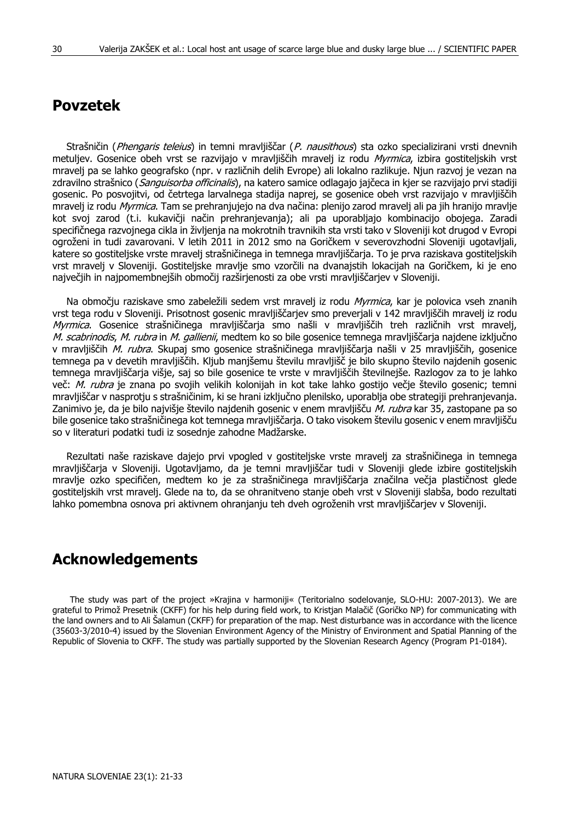# **Povzetek**

Strašničin (Phengaris teleius) in temni mravljiščar (P. nausithous) sta ozko specializirani vrsti dnevnih metuljev. Gosenice obeh vrst se razvijajo v mravljiščih mravelj iz rodu Myrmica, izbira gostiteljskih vrst mravelj pa se lahko geografsko (npr. v različnih delih Evrope) ali lokalno razlikuje. Njun razvoj je vezan na zdravilno strašnico (*Sanguisorba officinalis*), na katero samice odlagajo jajčeca in kjer se razvijajo prvi stadiji gosenic. Po posvojitvi, od četrtega larvalnega stadija naprej, se gosenice obeh vrst razvijajo v mravljiščih mravelj iz rodu *Myrmica*. Tam se prehranjujejo na dva načina: plenijo zarod mravelj ali pa jih hranijo mravlje kot svoj zarod (t.i. kukavičji način prehranjevanja); ali pa uporabljajo kombinacijo obojega. Zaradi specifičnega razvojnega cikla in življenja na mokrotnih travnikih sta vrsti tako v Sloveniji kot drugod v Evropi ogroženi in tudi zavarovani. V letih 2011 in 2012 smo na Goričkem v severovzhodni Sloveniji ugotavljali, katere so gostiteljske vrste mravelj strašničinega in temnega mravljiščarja. To je prva raziskava gostiteljskih vrst mravelj v Sloveniji. Gostiteljske mravlje smo vzorčili na dvanajstih lokacijah na Goričkem, ki je eno največjih in najpomembnejših območij razširjenosti za obe vrsti mravljiščarjev v Sloveniji.

Na območju raziskave smo zabeležili sedem vrst mravelj iz rodu Myrmica, kar je polovica vseh znanih vrst tega rodu v Sloveniji. Prisotnost gosenic mravljiščarjev smo preverjali v 142 mravljiščih mravelj iz rodu Myrmica. Gosenice strašničinega mravljiščarja smo našli v mravljiščih treh različnih vrst mravelj, M. scabrinodis, M. rubra in M. gallienii, medtem ko so bile gosenice temnega mravljiščarja najdene izključno v mravljiščih M. rubra. Skupaj smo gosenice strašničinega mravljiščarja našli v 25 mravljiščih, gosenice temnega pa v devetih mravljiščih. Kljub manjšemu številu mravljišč je bilo skupno število najdenih gosenic temnega mravljiščarja višje, saj so bile gosenice te vrste v mravljiščih številnejše. Razlogov za to je lahko več: M. rubra je znana po svojih velikih kolonijah in kot take lahko gostijo večje število gosenic; temni mravljiščar v nasprotju s strašničinim, ki se hrani izključno plenilsko, uporablja obe strategiji prehranjevanja. Zanimivo je, da je bilo najvišje število najdenih gosenic v enem mravljišču M. rubra kar 35, zastopane pa so bile gosenice tako strašničinega kot temnega mravljiščarja. O tako visokem številu gosenic v enem mravljišču so v literaturi podatki tudi iz sosednje zahodne Madžarske.

Rezultati naše raziskave dajejo prvi vpogled v gostiteljske vrste mravelj za strašničinega in temnega mravljiščarja v Sloveniji. Ugotavljamo, da je temni mravljiščar tudi v Sloveniji glede izbire gostiteljskih mravlje ozko specifičen, medtem ko je za strašničinega mravljiščarja značilna večja plastičnost glede gostiteljskih vrst mravelj. Glede na to, da se ohranitveno stanje obeh vrst v Sloveniji slabša, bodo rezultati lahko pomembna osnova pri aktivnem ohranjanju teh dveh ogroženih vrst mravljiščarjev v Sloveniji.

### **Acknowledgements**

The study was part of the project »Krajina v harmoniji« (Teritorialno sodelovanje, SLO-HU: 2007-2013). We are grateful to Primož Presetnik (CKFF) for his help during field work, to Kristjan Malačič (Goričko NP) for communicating with the land owners and to Ali Šalamun (CKFF) for preparation of the map. Nest disturbance was in accordance with the licence (35603-3/2010-4) issued by the Slovenian Environment Agency of the Ministry of Environment and Spatial Planning of the Republic of Slovenia to CKFF. The study was partially supported by the Slovenian Research Agency (Program P1-0184).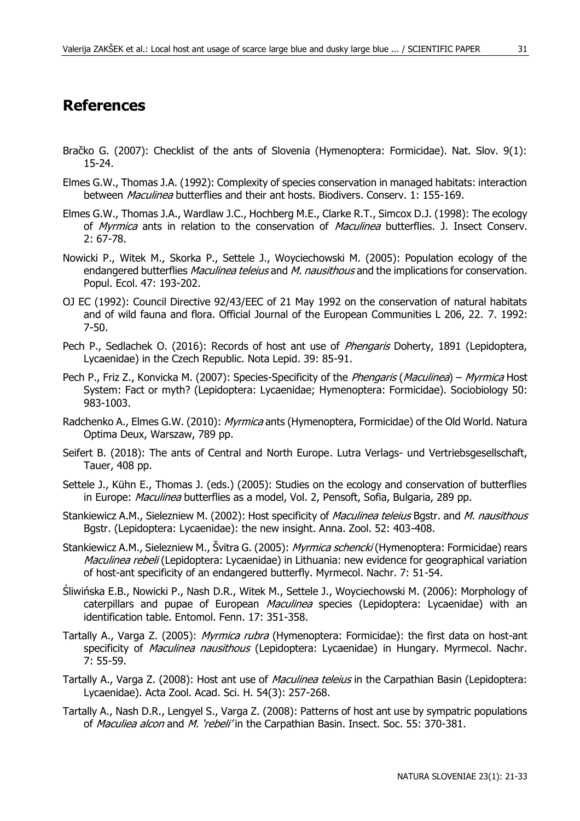# **References**

- Bračko G. (2007): Checklist of the ants of Slovenia (Hymenoptera: Formicidae). Nat. Slov. 9(1): 15-24.
- Elmes G.W., Thomas J.A. (1992): Complexity of species conservation in managed habitats: interaction between *Maculinea* butterflies and their ant hosts. Biodivers. Consery. 1: 155-169.
- Elmes G.W., Thomas J.A., Wardlaw J.C., Hochberg M.E., Clarke R.T., Simcox D.J. (1998): The ecology of Myrmica ants in relation to the conservation of Maculinea butterflies. J. Insect Conserv. 2: 67-78.
- Nowicki P., Witek M., Skorka P., Settele J., Woyciechowski M. (2005): Population ecology of the endangered butterflies Maculinea teleius and M. nausithous and the implications for conservation. Popul. Ecol. 47: 193-202.
- OJ EC (1992): Council Directive 92/43/EEC of 21 May 1992 on the conservation of natural habitats and of wild fauna and flora. Official Journal of the European Communities L 206, 22. 7. 1992: 7-50.
- Pech P., Sedlachek O. (2016): Records of host ant use of Phengaris Doherty, 1891 (Lepidoptera, Lycaenidae) in the Czech Republic. Nota Lepid. 39: 85-91.
- Pech P., Friz Z., Konvicka M. (2007): Species-Specificity of the *Phengaris (Maculinea) Myrmica* Host System: Fact or myth? (Lepidoptera: Lycaenidae; Hymenoptera: Formicidae). Sociobiology 50: 983-1003.
- Radchenko A., Elmes G.W. (2010): Myrmica ants (Hymenoptera, Formicidae) of the Old World. Natura Optima Deux, Warszaw, 789 pp.
- Seifert B. (2018): The ants of Central and North Europe. Lutra Verlags- und Vertriebsgesellschaft, Tauer, 408 pp.
- Settele J., Kühn E., Thomas J. (eds.) (2005): Studies on the ecology and conservation of butterflies in Europe: *Maculinea* butterflies as a model, Vol. 2, Pensoft, Sofia, Bulgaria, 289 pp.
- Stankiewicz A.M., Sielezniew M. (2002): Host specificity of *Maculinea teleius* Bgstr. and *M. nausithous* Bgstr. (Lepidoptera: Lycaenidae): the new insight. Anna. Zool. 52: 403-408.
- Stankiewicz A.M., Sielezniew M., Švitra G. (2005): *Myrmica schencki* (Hymenoptera: Formicidae) rears Maculinea rebeli (Lepidoptera: Lycaenidae) in Lithuania: new evidence for geographical variation of host-ant specificity of an endangered butterfly. Myrmecol. Nachr. 7: 51-54.
- Śliwińska E.B., Nowicki P., Nash D.R., Witek M., Settele J., Woyciechowski M. (2006): Morphology of caterpillars and pupae of European *Maculinea* species (Lepidoptera: Lycaenidae) with an identification table. Entomol. Fenn. 17: 351-358.
- Tartally A., Varga Z. (2005): Myrmica rubra (Hymenoptera: Formicidae): the first data on host-ant specificity of Maculinea nausithous (Lepidoptera: Lycaenidae) in Hungary. Myrmecol. Nachr. 7: 55-59.
- Tartally A., Varga Z. (2008): Host ant use of Maculinea teleius in the Carpathian Basin (Lepidoptera: Lycaenidae). Acta Zool. Acad. Sci. H. 54(3): 257-268.
- Tartally A., Nash D.R., Lengyel S., Varga Z. (2008): Patterns of host ant use by sympatric populations of Maculiea alcon and M. 'rebeli' in the Carpathian Basin. Insect. Soc. 55: 370-381.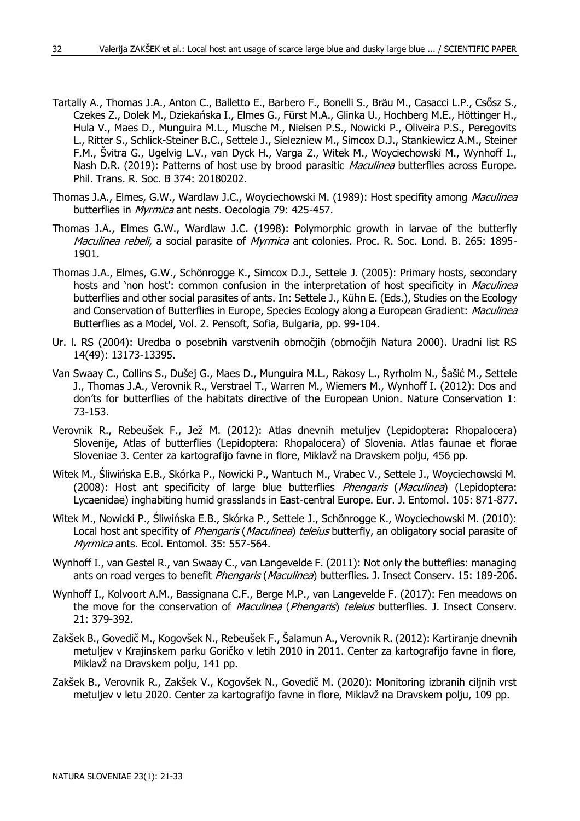- Tartally A., Thomas J.A., Anton C., Balletto E., Barbero F., Bonelli S., Bräu M., Casacci L.P., Csősz S., Czekes Z., Dolek M., Dziekańska I., Elmes G., Fürst M.A., Glinka U., Hochberg M.E., Höttinger H., Hula V., Maes D., Munguira M.L., Musche M., Nielsen P.S., Nowicki P., Oliveira P.S., Peregovits L., Ritter S., Schlick-Steiner B.C., Settele J., Sielezniew M., Simcox D.J., Stankiewicz A.M., Steiner F.M., Švitra G., Ugelvig L.V., van Dyck H., Varga Z., Witek M., Woyciechowski M., Wynhoff I., Nash D.R. (2019): Patterns of host use by brood parasitic Maculinea butterflies across Europe. Phil. Trans. R. Soc. B 374: 20180202.
- Thomas J.A., Elmes, G.W., Wardlaw J.C., Woyciechowski M. (1989): Host specifity among Maculinea butterflies in *Myrmica* ant nests. Oecologia 79: 425-457.
- Thomas J.A., Elmes G.W., Wardlaw J.C. (1998): Polymorphic growth in larvae of the butterfly Maculinea rebeli, a social parasite of Myrmica ant colonies. Proc. R. Soc. Lond. B. 265: 1895-1901.
- Thomas J.A., Elmes, G.W., Schönrogge K., Simcox D.J., Settele J. (2005): Primary hosts, secondary hosts and 'non host': common confusion in the interpretation of host specificity in *Maculinea* butterflies and other social parasites of ants. In: Settele J., Kühn E. (Eds.), Studies on the Ecology and Conservation of Butterflies in Europe, Species Ecology along a European Gradient: Maculinea Butterflies as a Model, Vol. 2. Pensoft, Sofia, Bulgaria, pp. 99-104.
- Ur. l. RS (2004): Uredba o posebnih varstvenih območjih (območjih Natura 2000). Uradni list RS 14(49): 13173-13395.
- Van Swaay C., Collins S., Dušej G., Maes D., Munguira M.L., Rakosy L., Ryrholm N., Šašić M., Settele J., Thomas J.A., Verovnik R., Verstrael T., Warren M., Wiemers M., Wynhoff I. (2012): Dos and don'ts for butterflies of the habitats directive of the European Union. Nature Conservation 1: 73-153.
- Verovnik R., Rebeušek F., Jež M. (2012): Atlas dnevnih metuljev (Lepidoptera: Rhopalocera) Slovenije, Atlas of butterflies (Lepidoptera: Rhopalocera) of Slovenia. Atlas faunae et florae Sloveniae 3. Center za kartografijo favne in flore, Miklavž na Dravskem polju, 456 pp.
- Witek M., Śliwińska E.B., Skórka P., Nowicki P., Wantuch M., Vrabec V., Settele J., Woyciechowski M. (2008): Host ant specificity of large blue butterflies *Phengaris (Maculinea*) (Lepidoptera: Lycaenidae) inghabiting humid grasslands in East-central Europe. Eur. J. Entomol. 105: 871-877.
- Witek M., Nowicki P., Śliwińska E.B., Skórka P., Settele J., Schönrogge K., Woyciechowski M. (2010): Local host ant specifity of *Phengaris (Maculinea) teleius* butterfly, an obligatory social parasite of Myrmica ants. Ecol. Entomol. 35: 557-564.
- Wynhoff I., van Gestel R., van Swaay C., van Langevelde F. (2011): Not only the butteflies: managing ants on road verges to benefit Phengaris (Maculinea) butterflies. J. Insect Conserv. 15: 189-206.
- Wynhoff I., Kolvoort A.M., Bassignana C.F., Berge M.P., van Langevelde F. (2017): Fen meadows on the move for the conservation of Maculinea (Phengaris) teleius butterflies. J. Insect Conserv. 21: 379-392.
- Zakšek B., Govedič M., Kogovšek N., Rebeušek F., Šalamun A., Verovnik R. (2012): Kartiranje dnevnih metuljev v Krajinskem parku Goričko v letih 2010 in 2011. Center za kartografijo favne in flore, Miklavž na Dravskem polju, 141 pp.
- Zakšek B., Verovnik R., Zakšek V., Kogovšek N., Govedič M. (2020): Monitoring izbranih ciljnih vrst metuljev v letu 2020. Center za kartografijo favne in flore, Miklavž na Dravskem polju, 109 pp.